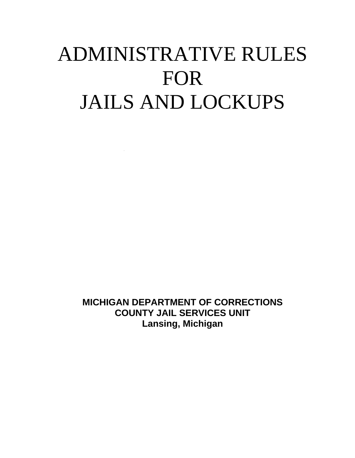# ADMINISTRATIVE RULES FOR JAILS AND LOCKUPS

**MICHIGAN DEPARTMENT OF CORRECTIONS COUNTY JAIL SERVICES UNIT Lansing, Michigan**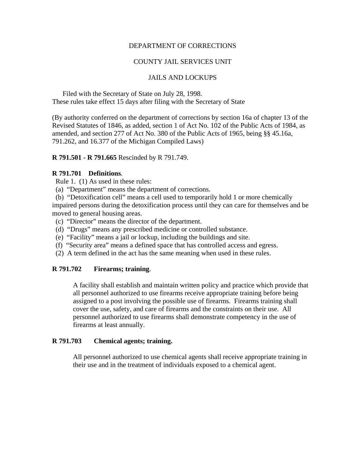#### DEPARTMENT OF CORRECTIONS

#### COUNTY JAIL SERVICES UNIT

#### JAILS AND LOCKUPS

 Filed with the Secretary of State on July 28, 1998. These rules take effect 15 days after filing with the Secretary of State

(By authority conferred on the department of corrections by section 16a of chapter 13 of the Revised Statutes of 1846, as added, section 1 of Act No. 102 of the Public Acts of 1984, as amended, and section 277 of Act No. 380 of the Public Acts of 1965, being §§ 45.16a, 791.262, and 16.377 of the Michigan Compiled Laws)

#### **R 791.501 - R 791.665** Rescinded by R 791.749.

#### **R 791.701 Definitions**.

Rule 1. (1) As used in these rules:

- (a) "Department" means the department of corrections.
- (b) "Detoxification cell" means a cell used to temporarily hold 1 or more chemically

impaired persons during the detoxification process until they can care for themselves and be moved to general housing areas.

- (c) "Director" means the director of the department.
- (d) "Drugs" means any prescribed medicine or controlled substance.
- (e) "Facility" means a jail or lockup, including the buildings and site.
- (f) "Security area" means a defined space that has controlled access and egress.
- (2) A term defined in the act has the same meaning when used in these rules.

#### **R 791.702 Firearms; training**.

A facility shall establish and maintain written policy and practice which provide that all personnel authorized to use firearms receive appropriate training before being assigned to a post involving the possible use of firearms. Firearms training shall cover the use, safety, and care of firearms and the constraints on their use. All personnel authorized to use firearms shall demonstrate competency in the use of firearms at least annually.

#### **R 791.703 Chemical agents; training.**

All personnel authorized to use chemical agents shall receive appropriate training in their use and in the treatment of individuals exposed to a chemical agent.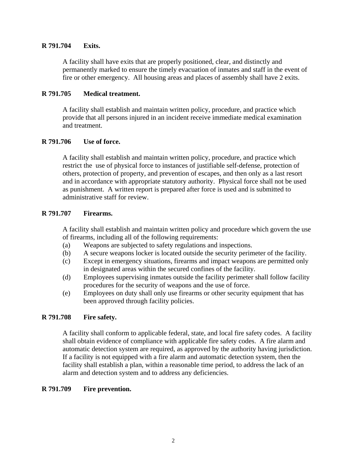#### **R 791.704 Exits.**

A facility shall have exits that are properly positioned, clear, and distinctly and permanently marked to ensure the timely evacuation of inmates and staff in the event of fire or other emergency. All housing areas and places of assembly shall have 2 exits.

#### **R 791.705 Medical treatment.**

A facility shall establish and maintain written policy, procedure, and practice which provide that all persons injured in an incident receive immediate medical examination and treatment.

#### **R 791.706 Use of force.**

A facility shall establish and maintain written policy, procedure, and practice which restrict the use of physical force to instances of justifiable self-defense, protection of others, protection of property, and prevention of escapes, and then only as a last resort and in accordance with appropriate statutory authority. Physical force shall not be used as punishment. A written report is prepared after force is used and is submitted to administrative staff for review.

#### **R 791.707 Firearms.**

A facility shall establish and maintain written policy and procedure which govern the use of firearms, including all of the following requirements:

- (a) Weapons are subjected to safety regulations and inspections.
- (b) A secure weapons locker is located outside the security perimeter of the facility.
- (c) Except in emergency situations, firearms and impact weapons are permitted only in designated areas within the secured confines of the facility.
- (d) Employees supervising inmates outside the facility perimeter shall follow facility procedures for the security of weapons and the use of force.
- (e) Employees on duty shall only use firearms or other security equipment that has been approved through facility policies.

## **R 791.708 Fire safety.**

A facility shall conform to applicable federal, state, and local fire safety codes. A facility shall obtain evidence of compliance with applicable fire safety codes. A fire alarm and automatic detection system are required, as approved by the authority having jurisdiction. If a facility is not equipped with a fire alarm and automatic detection system, then the facility shall establish a plan, within a reasonable time period, to address the lack of an alarm and detection system and to address any deficiencies.

#### **R 791.709 Fire prevention.**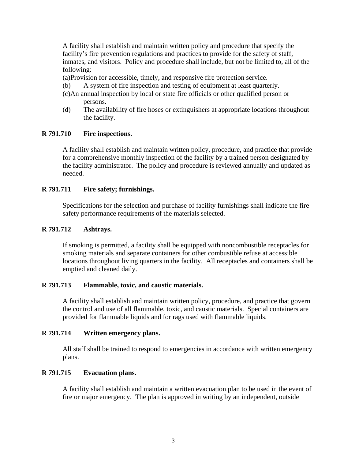A facility shall establish and maintain written policy and procedure that specify the facility's fire prevention regulations and practices to provide for the safety of staff, inmates, and visitors. Policy and procedure shall include, but not be limited to, all of the following:

(a) Provision for accessible, timely, and responsive fire protection service.

- (b) A system of fire inspection and testing of equipment at least quarterly.
- (c) An annual inspection by local or state fire officials or other qualified person or persons.
- (d) The availability of fire hoses or extinguishers at appropriate locations throughout the facility.

#### **R 791.710 Fire inspections.**

A facility shall establish and maintain written policy, procedure, and practice that provide for a comprehensive monthly inspection of the facility by a trained person designated by the facility administrator. The policy and procedure is reviewed annually and updated as needed.

#### **R 791.711 Fire safety; furnishings.**

Specifications for the selection and purchase of facility furnishings shall indicate the fire safety performance requirements of the materials selected.

#### **R 791.712 Ashtrays.**

If smoking is permitted, a facility shall be equipped with noncombustible receptacles for smoking materials and separate containers for other combustible refuse at accessible locations throughout living quarters in the facility. All receptacles and containers shall be emptied and cleaned daily.

#### **R 791.713 Flammable, toxic, and caustic materials.**

A facility shall establish and maintain written policy, procedure, and practice that govern the control and use of all flammable, toxic, and caustic materials. Special containers are provided for flammable liquids and for rags used with flammable liquids.

#### **R 791.714 Written emergency plans.**

All staff shall be trained to respond to emergencies in accordance with written emergency plans.

#### **R 791.715 Evacuation plans.**

A facility shall establish and maintain a written evacuation plan to be used in the event of fire or major emergency. The plan is approved in writing by an independent, outside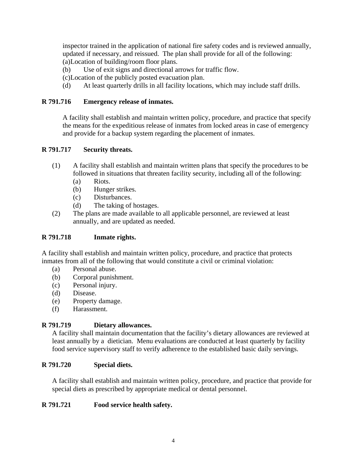inspector trained in the application of national fire safety codes and is reviewed annually, updated if necessary, and reissued. The plan shall provide for all of the following: (a) Location of building/room floor plans.

- (b) Use of exit signs and directional arrows for traffic flow.
- (c) Location of the publicly posted evacuation plan.
- (d) At least quarterly drills in all facility locations, which may include staff drills.

## **R 791.716 Emergency release of inmates.**

A facility shall establish and maintain written policy, procedure, and practice that specify the means for the expeditious release of inmates from locked areas in case of emergency and provide for a backup system regarding the placement of inmates.

## **R 791.717 Security threats.**

- (1) A facility shall establish and maintain written plans that specify the procedures to be followed in situations that threaten facility security, including all of the following:
	- (a) Riots.
	- (b) Hunger strikes.
	- (c) Disturbances.
	- (d) The taking of hostages.
- (2) The plans are made available to all applicable personnel, are reviewed at least annually, and are updated as needed.

## **R 791.718 Inmate rights.**

A facility shall establish and maintain written policy, procedure, and practice that protects inmates from all of the following that would constitute a civil or criminal violation:

- (a) Personal abuse.
- (b) Corporal punishment.
- (c) Personal injury.
- (d) Disease.
- (e) Property damage.
- (f) Harassment.

## **R 791.719 Dietary allowances.**

A facility shall maintain documentation that the facility's dietary allowances are reviewed at least annually by a dietician. Menu evaluations are conducted at least quarterly by facility food service supervisory staff to verify adherence to the established basic daily servings.

## **R 791.720 Special diets.**

A facility shall establish and maintain written policy, procedure, and practice that provide for special diets as prescribed by appropriate medical or dental personnel.

## **R 791.721 Food service health safety.**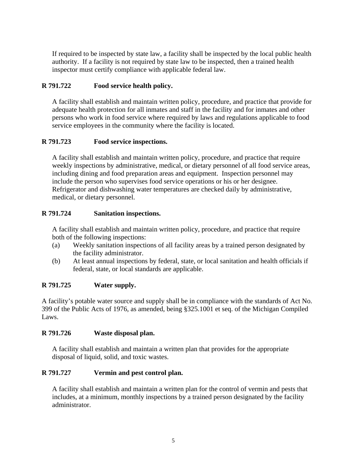If required to be inspected by state law, a facility shall be inspected by the local public health authority. If a facility is not required by state law to be inspected, then a trained health inspector must certify compliance with applicable federal law.

# **R 791.722 Food service health policy.**

A facility shall establish and maintain written policy, procedure, and practice that provide for adequate health protection for all inmates and staff in the facility and for inmates and other persons who work in food service where required by laws and regulations applicable to food service employees in the community where the facility is located.

# **R 791.723 Food service inspections.**

A facility shall establish and maintain written policy, procedure, and practice that require weekly inspections by administrative, medical, or dietary personnel of all food service areas, including dining and food preparation areas and equipment. Inspection personnel may include the person who supervises food service operations or his or her designee. Refrigerator and dishwashing water temperatures are checked daily by administrative, medical, or dietary personnel.

# **R 791.724 Sanitation inspections.**

A facility shall establish and maintain written policy, procedure, and practice that require both of the following inspections:

- (a) Weekly sanitation inspections of all facility areas by a trained person designated by the facility administrator.
- (b) At least annual inspections by federal, state, or local sanitation and health officials if federal, state, or local standards are applicable.

# **R 791.725 Water supply.**

A facility's potable water source and supply shall be in compliance with the standards of Act No. 399 of the Public Acts of 1976, as amended, being §325.1001 et seq. of the Michigan Compiled Laws.

## **R 791.726 Waste disposal plan.**

A facility shall establish and maintain a written plan that provides for the appropriate disposal of liquid, solid, and toxic wastes.

## **R 791.727 Vermin and pest control plan.**

A facility shall establish and maintain a written plan for the control of vermin and pests that includes, at a minimum, monthly inspections by a trained person designated by the facility administrator.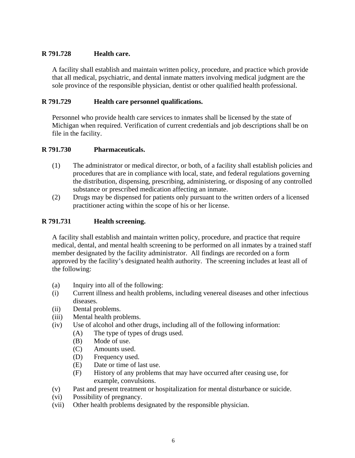# **R 791.728 Health care.**

A facility shall establish and maintain written policy, procedure, and practice which provide that all medical, psychiatric, and dental inmate matters involving medical judgment are the sole province of the responsible physician, dentist or other qualified health professional.

## **R 791.729 Health care personnel qualifications.**

Personnel who provide health care services to inmates shall be licensed by the state of Michigan when required. Verification of current credentials and job descriptions shall be on file in the facility.

## **R 791.730 Pharmaceuticals.**

- (1) The administrator or medical director, or both, of a facility shall establish policies and procedures that are in compliance with local, state, and federal regulations governing the distribution, dispensing, prescribing, administering, or disposing of any controlled substance or prescribed medication affecting an inmate.
- (2) Drugs may be dispensed for patients only pursuant to the written orders of a licensed practitioner acting within the scope of his or her license.

#### **R 791.731 Health screening.**

A facility shall establish and maintain written policy, procedure, and practice that require medical, dental, and mental health screening to be performed on all inmates by a trained staff member designated by the facility administrator. All findings are recorded on a form approved by the facility's designated health authority. The screening includes at least all of the following:

- (a) Inquiry into all of the following:
- (i) Current illness and health problems, including venereal diseases and other infectious diseases.
- (ii) Dental problems.
- (iii) Mental health problems.
- (iv) Use of alcohol and other drugs, including all of the following information:
	- (A) The type of types of drugs used.
	- (B) Mode of use.
	- (C) Amounts used.
	- (D) Frequency used.
	- (E) Date or time of last use.
	- (F) History of any problems that may have occurred after ceasing use, for example, convulsions.
- (v) Past and present treatment or hospitalization for mental disturbance or suicide.
- (vi) Possibility of pregnancy.
- (vii) Other health problems designated by the responsible physician.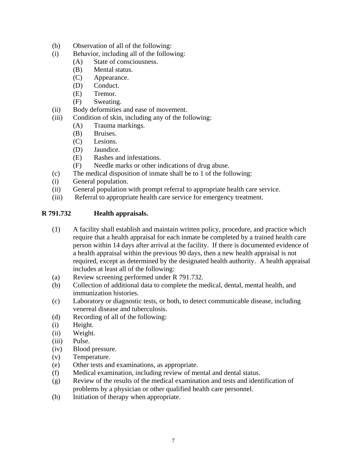- (b) Observation of all of the following:
- (i) Behavior, including all of the following:
	- (A) State of consciousness.
	- (B) Mental status.
	- (C) Appearance.
	- (D) Conduct.
	- (E) Tremor.
	- (F) Sweating.
- (ii) Body deformities and ease of movement.
- (iii) Condition of skin, including any of the following:
	- (A) Trauma markings.
	- (B) Bruises.
	- (C) Lesions.
	- (D) Jaundice.
	- (E) Rashes and infestations.
	- (F) Needle marks or other indications of drug abuse.
- (c) The medical disposition of inmate shall be to 1 of the following:
- (i) General population.
- (ii) General population with prompt referral to appropriate health care service.
- (iii) Referral to appropriate health care service for emergency treatment.

#### **R 791.732 Health appraisals.**

- (1) A facility shall establish and maintain written policy, procedure, and practice which require that a health appraisal for each inmate be completed by a trained health care person within 14 days after arrival at the facility. If there is documented evidence of a health appraisal within the previous 90 days, then a new health appraisal is not required, except as determined by the designated health authority. A health appraisal includes at least all of the following:
- (a) Review screening performed under R 791.732.
- (b) Collection of additional data to complete the medical, dental, mental health, and immunization histories.
- (c) Laboratory or diagnostic tests, or both, to detect communicable disease, including venereal disease and tuberculosis.
- (d) Recording of all of the following:
- (i) Height.
- (ii) Weight.
- (iii) Pulse.
- (iv) Blood pressure.
- (v) Temperature.
- (e) Other tests and examinations, as appropriate.
- (f) Medical examination, including review of mental and dental status.
- (g) Review of the results of the medical examination and tests and identification of problems by a physician or other qualified health care personnel.
- (h) Initiation of therapy when appropriate.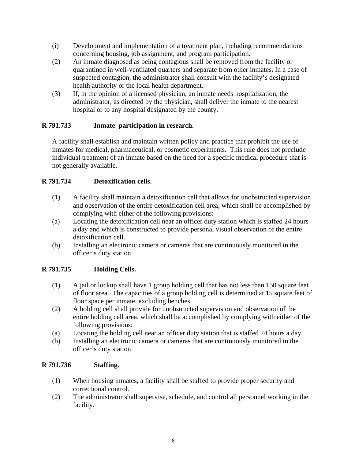- (i) Development and implementation of a treatment plan, including recommendations concerning housing, job assignment, and program participation.
- (2) An inmate diagnosed as being contagious shall be removed from the facility or quarantined in well-ventilated quarters and separate from other inmates. In a case of suspected contagion, the administrator shall consult with the facility's designated health authority or the local health department.
- (3) If, in the opinion of a licensed physician, an inmate needs hospitalization, the administrator, as directed by the physician, shall deliver the inmate to the nearest hospital or to any hospital designated by the county.

# **R 791.733 Inmate participation in research.**

A facility shall establish and maintain written policy and practice that prohibit the use of inmates for medical, pharmaceutical, or cosmetic experiments. This rule does not preclude individual treatment of an inmate based on the need for a specific medical procedure that is not generally available.

# **R 791.734 Detoxification cells.**

- (1) A facility shall maintain a detoxification cell that allows for unobstructed supervision and observation of the entire detoxification cell area, which shall be accomplished by complying with either of the following provisions:
- (a) Locating the detoxification cell near an officer duty station which is staffed 24 hours a day and which is constructed to provide personal visual observation of the entire detoxification cell.
- (b) Installing an electronic camera or cameras that are continuously monitored in the officer's duty station.

## **R 791.735 Holding Cells.**

- (1) A jail or lockup shall have 1 group holding cell that has not less than 150 square feet of floor area. The capacities of a group holding cell is determined at 15 square feet of floor space per inmate, excluding benches.
- (2) A holding cell shall provide for unobstructed supervision and observation of the entire holding cell area, which shall be accomplished by complying with either of the following provisions:
- (a) Locating the holding cell near an officer duty station that is staffed 24 hours a day.
- (b) Installing an electronic camera or cameras that are continuously monitored in the officer's duty station.

## **R 791.736 Staffing.**

- (1) When housing inmates, a facility shall be staffed to provide proper security and correctional control.
- (2) The administrator shall supervise, schedule, and control all personnel working in the facility.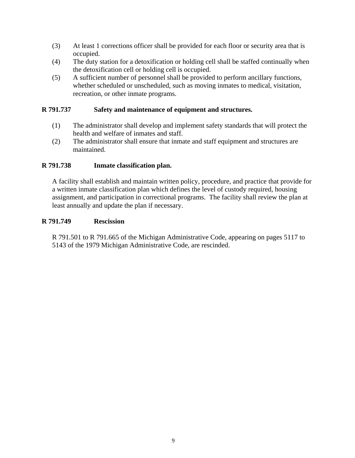- (3) At least 1 corrections officer shall be provided for each floor or security area that is occupied.
- (4) The duty station for a detoxification or holding cell shall be staffed continually when the detoxification cell or holding cell is occupied.
- (5) A sufficient number of personnel shall be provided to perform ancillary functions, whether scheduled or unscheduled, such as moving inmates to medical, visitation, recreation, or other inmate programs.

### **R 791.737 Safety and maintenance of equipment and structures.**

- (1) The administrator shall develop and implement safety standards that will protect the health and welfare of inmates and staff.
- (2) The administrator shall ensure that inmate and staff equipment and structures are maintained.

#### **R 791.738 Inmate classification plan.**

A facility shall establish and maintain written policy, procedure, and practice that provide for a written inmate classification plan which defines the level of custody required, housing assignment, and participation in correctional programs. The facility shall review the plan at least annually and update the plan if necessary.

#### **R 791.749 Rescission**

R 791.501 to R 791.665 of the Michigan Administrative Code, appearing on pages 5117 to 5143 of the 1979 Michigan Administrative Code, are rescinded.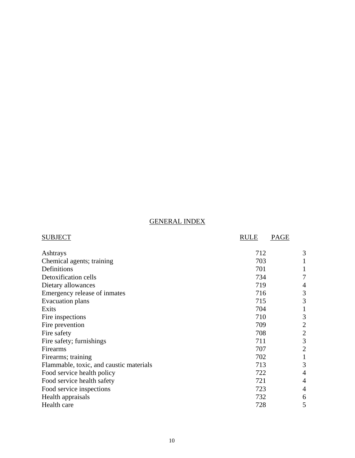# GENERAL INDEX

| <b>SUBJECT</b>                          | <b>RULE</b><br><b>PAGE</b> |                |
|-----------------------------------------|----------------------------|----------------|
| Ashtrays                                | 712                        | 3              |
| Chemical agents; training               | 703                        | 1              |
| Definitions                             | 701                        | 1              |
| Detoxification cells                    | 734                        |                |
| Dietary allowances                      | 719                        | 4              |
| Emergency release of inmates            | 716                        | 3              |
| Evacuation plans                        | 715                        | 3              |
| Exits                                   | 704                        | 1              |
| Fire inspections                        | 710                        | 3              |
| Fire prevention                         | 709                        | 2              |
| Fire safety                             | 708                        | $\overline{2}$ |
| Fire safety; furnishings                | 711                        | 3              |
| Firearms                                | 707                        | $\overline{2}$ |
| Firearms; training                      | 702                        | $\mathbf 1$    |
| Flammable, toxic, and caustic materials | 713                        | 3              |
| Food service health policy              | 722                        | $\overline{4}$ |
| Food service health safety              | 721                        | $\overline{4}$ |
| Food service inspections                | 723                        | $\overline{4}$ |
| Health appraisals                       | 732                        | 6              |
| Health care                             | 728                        | 5              |
|                                         |                            |                |